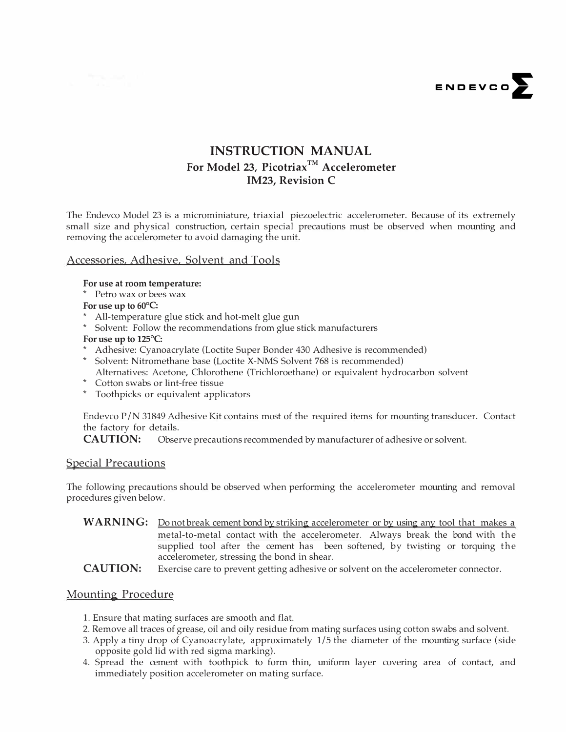

# **INSTRUCTION MANUAL For Model 23, Picotriax™ Accelerometer IM23, Revision C**

The Endevco Model 23 is a microminiature, triaxial piezoelectric accelerometer. Because of its extremely small size and physical construction, certain special precautions must be observed when mounting and removing the accelerometer to avoid damaging the unit.

#### Accessories, Adhesive, Solvent and Tools

#### **For use at room temperature:**

\* Petro wax or bees wax

#### **For use up to 60°C:**

- \* All-temperature glue stick and hot-melt glue gun
- \* Solvent: Follow the recommendations from glue stick manufacturers

#### **For use up to 125°C:**

- \* Adhesive: Cyanoacrylate (Loctite Super Bonder 430 Adhesive is recommended)
- \* Solvent: Nitromethane base (Loctite X-NMS Solvent 768 is recommended) Alternatives: Acetone, Chlorothene (Trichloroethane) or equivalent hydrocarbon solvent
- \* Cotton swabs or lint-free tissue
- \* Toothpicks or equivalent applicators

Endevco  $P/N$  31849 Adhesive Kit contains most of the required items for mounting transducer. Contact the factory for details.

**CAUTION:** Observe precautions recommended by manufacturer of adhesive or solvent.

## **Special Precautions**

The following precautions should be observed when performing the accelerometer mounting and removal procedures given below.

WARNING: Do not break cement bond by striking accelerometer or by using any tool that makes a metal-to-metal contact with the accelerometer. Always break the bond with the supplied tool after the cement has been softened, by twisting or torquing the accelerometer, stressing the bond in shear.

**CAUTION:** Exercise care to prevent getting adhesive or solvent on the accelerometer connector.

## Mounting Procedure

- 1. Ensure that mating surfaces are smooth and flat.
- 2. Remove all traces of grease, oil and oily residue from mating surfaces using cotton swabs and solvent.
- 3. Apply a tiny drop of Cyanoacrylate, approximately 1/5 the diameter of the mounting surface (side opposite gold lid with red sigma marking).
- 4. Spread the cement with toothpick to form thin, uniform layer covering area of contact, and immediately position accelerometer on mating surface.